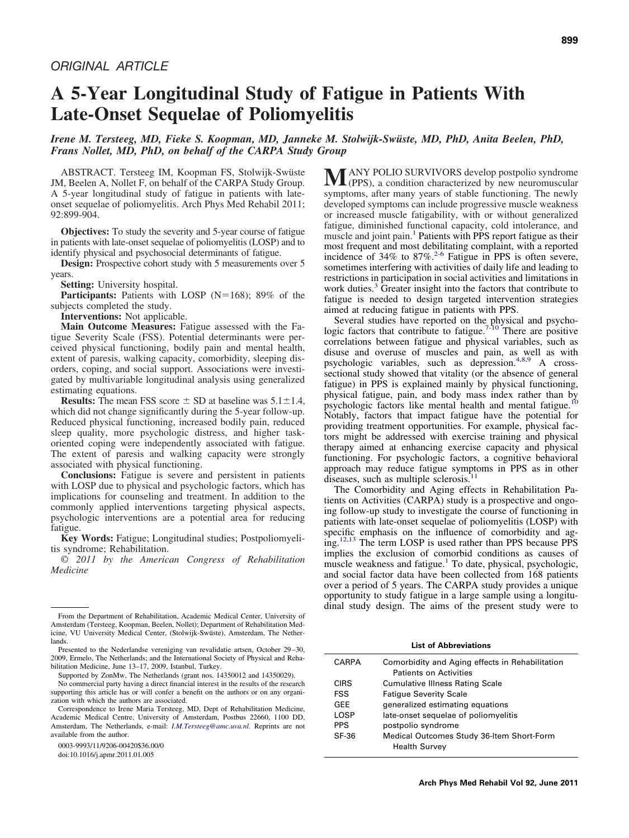# **A 5-Year Longitudinal Study of Fatigue in Patients With Late-Onset Sequelae of Poliomyelitis**

# *Irene M. Tersteeg, MD, Fieke S. Koopman, MD, Janneke M. Stolwijk-Swüste, MD, PhD, Anita Beelen, PhD, Frans Nollet, MD, PhD, on behalf of the CARPA Study Group*

ABSTRACT. Tersteeg IM, Koopman FS, Stolwijk-Swüste JM, Beelen A, Nollet F, on behalf of the CARPA Study Group. A 5-year longitudinal study of fatigue in patients with lateonset sequelae of poliomyelitis. Arch Phys Med Rehabil 2011; 92:899-904.

**Objectives:** To study the severity and 5-year course of fatigue in patients with late-onset sequelae of poliomyelitis (LOSP) and to identify physical and psychosocial determinants of fatigue.

**Design:** Prospective cohort study with 5 measurements over 5 years.

**Setting:** University hospital.

**Participants:** Patients with LOSP ( $N=168$ ); 89% of the subjects completed the study.

**Interventions:** Not applicable.

**Main Outcome Measures:** Fatigue assessed with the Fatigue Severity Scale (FSS). Potential determinants were perceived physical functioning, bodily pain and mental health, extent of paresis, walking capacity, comorbidity, sleeping disorders, coping, and social support. Associations were investigated by multivariable longitudinal analysis using generalized estimating equations.

**Results:** The mean FSS score  $\pm$  SD at baseline was  $5.1 \pm 1.4$ , which did not change significantly during the 5-year follow-up. Reduced physical functioning, increased bodily pain, reduced sleep quality, more psychologic distress, and higher taskoriented coping were independently associated with fatigue. The extent of paresis and walking capacity were strongly associated with physical functioning.

**Conclusions:** Fatigue is severe and persistent in patients with LOSP due to physical and psychologic factors, which has implications for counseling and treatment. In addition to the commonly applied interventions targeting physical aspects, psychologic interventions are a potential area for reducing fatigue.

**Key Words:** Fatigue; Longitudinal studies; Postpoliomyelitis syndrome; Rehabilitation.

© *2011 by the American Congress of Rehabilitation Medicine*

 $M$ ANY POLIO SURVIVORS develop postpolio syndrome<br>(PPS), a condition characterized by new neuromuscular symptoms, after many years of stable functioning. The newly developed symptoms can include progressive muscle weakness or increased muscle fatigability, with or without generalized fatigue, diminished functional capacity, cold intolerance, and muscle and joint pain.<sup>[1](#page-4-0)</sup> Patients with PPS report fatigue as their most frequent and most debilitating complaint, with a reported incidence of  $34\%$  to  $87\%$ .<sup>[2-6](#page-4-1)</sup> Fatigue in PPS is often severe, sometimes interfering with activities of daily life and leading to restrictions in participation in social activities and limitations in work duties.<sup>3</sup> Greater insight into the factors that contribute to fatigue is needed to design targeted intervention strategies aimed at reducing fatigue in patients with PPS.

Several studies have reported on the physical and psychologic factors that contribute to fatigue.<sup>[7-10](#page-4-3)</sup> There are positive correlations between fatigue and physical variables, such as disuse and overuse of muscles and pain, as well as with psychologic variables, such as depression.<sup>[4,8,9](#page-4-4)</sup> A crosssectional study showed that vitality (or the absence of general fatigue) in PPS is explained mainly by physical functioning, physical fatigue, pain, and body mass index rather than by psychologic factors like mental health and mental fatigue.<sup>[10](#page-4-5)</sup> Notably, factors that impact fatigue have the potential for providing treatment opportunities. For example, physical factors might be addressed with exercise training and physical therapy aimed at enhancing exercise capacity and physical functioning. For psychologic factors, a cognitive behavioral approach may reduce fatigue symptoms in PPS as in other diseases, such as multiple sclerosis.<sup>11</sup>

The Comorbidity and Aging effects in Rehabilitation Patients on Activities (CARPA) study is a prospective and ongoing follow-up study to investigate the course of functioning in patients with late-onset sequelae of poliomyelitis (LOSP) with specific emphasis on the influence of comorbidity and aging.[12,13](#page-4-7) The term LOSP is used rather than PPS because PPS implies the exclusion of comorbid conditions as causes of muscle weakness and fatigue.<sup>[1](#page-4-0)</sup> To date, physical, psychologic, and social factor data have been collected from 168 patients over a period of 5 years. The CARPA study provides a unique opportunity to study fatigue in a large sample using a longitudinal study design. The aims of the present study were to

**List of Abbreviations**

| CARPA       | Comorbidity and Aging effects in Rehabilitation<br><b>Patients on Activities</b> |
|-------------|----------------------------------------------------------------------------------|
| <b>CIRS</b> | <b>Cumulative Illness Rating Scale</b>                                           |
| <b>FSS</b>  | <b>Fatique Severity Scale</b>                                                    |
| GEE         | generalized estimating equations                                                 |
| LOSP        | late-onset sequelae of poliomyelitis                                             |
| <b>PPS</b>  | postpolio syndrome                                                               |
| SF-36       | Medical Outcomes Study 36-Item Short-Form<br><b>Health Survey</b>                |

From the Department of Rehabilitation, Academic Medical Center, University of Amsterdam (Tersteeg, Koopman, Beelen, Nollet); Department of Rehabilitation Medicine, VU University Medical Center, (Stolwijk-Swüste), Amsterdam, The Netherlands.

Presented to the Nederlandse vereniging van revalidatie artsen, October 29–30, 2009, Ermelo, The Netherlands; and the International Society of Physical and Rehabilitation Medicine, June 13–17, 2009, Istanbul, Turkey.

Supported by ZonMw, The Netherlands (grant nos. 14350012 and 14350029).

No commercial party having a direct financial interest in the results of the research supporting this article has or will confer a benefit on the authors or on any organization with which the authors are associated.

Correspondence to Irene Maria Tersteeg, MD, Dept of Rehabilitation Medicine, Academic Medical Centre, University of Amsterdam, Postbus 22660, 1100 DD, Amsterdam, The Netherlands, e-mail: *[I.M.Tersteeg@amc.uva.nl.](mailto:I.M.Tersteeg@amc.uva.nl)* Reprints are not available from the author.

<sup>0003-9993/11/9206-00420\$36.00/0</sup>

doi:10.1016/j.apmr.2011.01.005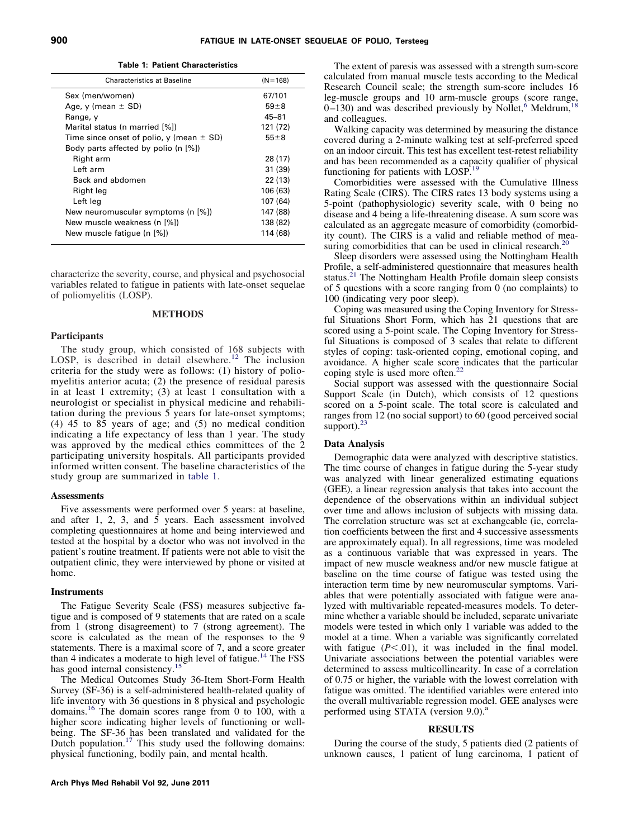<span id="page-1-0"></span>

| Table 1: Patient Characteristics |  |
|----------------------------------|--|
|----------------------------------|--|

| <b>Characteristics at Baseline</b>           | $(N = 168)$ |
|----------------------------------------------|-------------|
| Sex (men/women)                              | 67/101      |
| Age, y (mean $\pm$ SD)                       | $59 + 8$    |
| Range, y                                     | $45 - 81$   |
| Marital status (n married [%])               | 121 (72)    |
| Time since onset of polio, y (mean $\pm$ SD) | $55 + 8$    |
| Body parts affected by polio (n [%])         |             |
| Right arm                                    | 28 (17)     |
| I eft arm                                    | 31 (39)     |
| Back and abdomen                             | 22 (13)     |
| Right leg                                    | 106 (63)    |
| Left leg                                     | 107 (64)    |
| New neuromuscular symptoms (n [%])           | 147 (88)    |
| New muscle weakness (n [%])                  | 138 (82)    |
| New muscle fatique (n [%])                   | 114 (68)    |

characterize the severity, course, and physical and psychosocial variables related to fatigue in patients with late-onset sequelae of poliomyelitis (LOSP).

## **METHODS**

#### **Participants**

The study group, which consisted of 168 subjects with LOSP, is described in detail elsewhere.<sup>[12](#page-4-7)</sup> The inclusion criteria for the study were as follows: (1) history of poliomyelitis anterior acuta; (2) the presence of residual paresis in at least 1 extremity; (3) at least 1 consultation with a neurologist or specialist in physical medicine and rehabilitation during the previous 5 years for late-onset symptoms; (4) 45 to 85 years of age; and (5) no medical condition indicating a life expectancy of less than 1 year. The study was approved by the medical ethics committees of the 2 participating university hospitals. All participants provided informed written consent. The baseline characteristics of the study group are summarized in [table 1.](#page-1-0)

#### **Assessments**

Five assessments were performed over 5 years: at baseline, and after 1, 2, 3, and 5 years. Each assessment involved completing questionnaires at home and being interviewed and tested at the hospital by a doctor who was not involved in the patient's routine treatment. If patients were not able to visit the outpatient clinic, they were interviewed by phone or visited at home.

## **Instruments**

The Fatigue Severity Scale (FSS) measures subjective fatigue and is composed of 9 statements that are rated on a scale from 1 (strong disagreement) to 7 (strong agreement). The score is calculated as the mean of the responses to the 9 statements. There is a maximal score of 7, and a score greater than 4 indicates a moderate to high level of fatigue.<sup>[14](#page-4-8)</sup> The FSS has good internal consistency.<sup>[15](#page-4-9)</sup>

The Medical Outcomes Study 36-Item Short-Form Health Survey (SF-36) is a self-administered health-related quality of life inventory with 36 questions in 8 physical and psychologic domains.[16](#page-4-10) The domain scores range from 0 to 100, with a higher score indicating higher levels of functioning or well-being. The SF-36 has been translated and validated for the Dutch population.<sup>[17](#page-4-11)</sup> This study used the following domains: physical functioning, bodily pain, and mental health.

The extent of paresis was assessed with a strength sum-score calculated from manual muscle tests according to the Medical Research Council scale; the strength sum-score includes 16 leg-muscle groups and 10 arm-muscle groups (score range,  $0-130$ ) and was described previously by Nollet,<sup>[6](#page-4-12)</sup> Meldrum,<sup>1</sup> and colleagues.

Walking capacity was determined by measuring the distance covered during a 2-minute walking test at self-preferred speed on an indoor circuit. This test has excellent test-retest reliability and has been recommended as a capacity qualifier of physical functioning for patients with LOSP[.19](#page-4-14)

Comorbidities were assessed with the Cumulative Illness Rating Scale (CIRS). The CIRS rates 13 body systems using a 5-point (pathophysiologic) severity scale, with 0 being no disease and 4 being a life-threatening disease. A sum score was calculated as an aggregate measure of comorbidity (comorbidity count). The CIRS is a valid and reliable method of measuring comorbidities that can be used in clinical research.<sup>20</sup>

Sleep disorders were assessed using the Nottingham Health Profile, a self-administered questionnaire that measures health status.<sup>[21](#page-4-16)</sup> The Nottingham Health Profile domain sleep consists of 5 questions with a score ranging from 0 (no complaints) to 100 (indicating very poor sleep).

Coping was measured using the Coping Inventory for Stressful Situations Short Form, which has 21 questions that are scored using a 5-point scale. The Coping Inventory for Stressful Situations is composed of 3 scales that relate to different styles of coping: task-oriented coping, emotional coping, and avoidance. A higher scale score indicates that the particular coping style is used more often.<sup>22</sup>

Social support was assessed with the questionnaire Social Support Scale (in Dutch), which consists of 12 questions scored on a 5-point scale. The total score is calculated and ranges from 12 (no social support) to 60 (good perceived social support). $23$ 

#### **Data Analysis**

Demographic data were analyzed with descriptive statistics. The time course of changes in fatigue during the 5-year study was analyzed with linear generalized estimating equations (GEE), a linear regression analysis that takes into account the dependence of the observations within an individual subject over time and allows inclusion of subjects with missing data. The correlation structure was set at exchangeable (ie, correlation coefficients between the first and 4 successive assessments are approximately equal). In all regressions, time was modeled as a continuous variable that was expressed in years. The impact of new muscle weakness and/or new muscle fatigue at baseline on the time course of fatigue was tested using the interaction term time by new neuromuscular symptoms. Variables that were potentially associated with fatigue were analyzed with multivariable repeated-measures models. To determine whether a variable should be included, separate univariate models were tested in which only 1 variable was added to the model at a time. When a variable was significantly correlated with fatigue  $(P<.01)$ , it was included in the final model. Univariate associations between the potential variables were determined to assess multicollinearity. In case of a correlation of 0.75 or higher, the variable with the lowest correlation with fatigue was omitted. The identified variables were entered into the overall multivariable regression model. GEE analyses were performed using STATA (version  $9.0$ ).<sup>a</sup>

#### **RESULTS**

During the course of the study, 5 patients died (2 patients of unknown causes, 1 patient of lung carcinoma, 1 patient of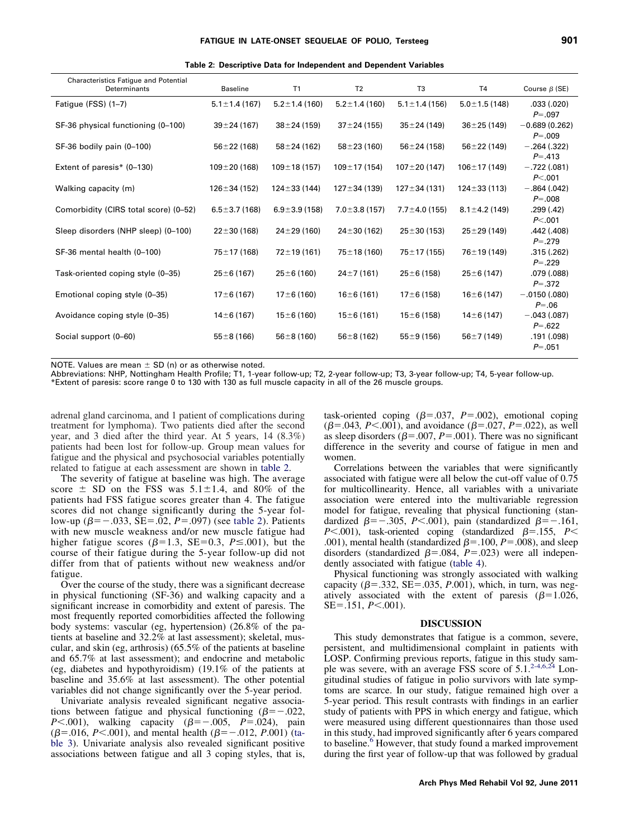<span id="page-2-0"></span>

| Table 2: Descriptive Data for Independent and Dependent Variables |  |  |  |  |
|-------------------------------------------------------------------|--|--|--|--|
|-------------------------------------------------------------------|--|--|--|--|

| Characteristics Fatigue and Potential<br>Determinants | <b>Baseline</b>     | T1                  | T <sub>2</sub>      | T <sub>3</sub>      | <b>T4</b>           | Course $\beta$ (SE)                     |
|-------------------------------------------------------|---------------------|---------------------|---------------------|---------------------|---------------------|-----------------------------------------|
| Fatigue (FSS) (1-7)                                   | $5.1 \pm 1.4$ (167) | $5.2 \pm 1.4$ (160) | $5.2 \pm 1.4$ (160) | $5.1 \pm 1.4$ (156) | $5.0 \pm 1.5$ (148) | .033(.020)<br>$P = .097$                |
| SF-36 physical functioning (0-100)                    | $39 \pm 24$ (167)   | $38 \pm 24$ (159)   | $37 \pm 24$ (155)   | $35 \pm 24 (149)$   | $36 \pm 25$ (149)   | $-0.689(0.262)$<br>$P = .009$           |
| SF-36 bodily pain (0-100)                             | $56 \pm 22$ (168)   | $58 \pm 24$ (162)   | $58 + 23(160)$      | $56 \pm 24$ (158)   | $56 \pm 22$ (149)   | $-.264(.322)$<br>$P = .413$             |
| Extent of paresis $*(0-130)$                          | $109 \pm 20$ (168)  | $109 \pm 18(157)$   | $109 \pm 17$ (154)  | $107 \pm 20$ (147)  | $106 \pm 17(149)$   | $-.722(.081)$<br>P< 001                 |
| Walking capacity (m)                                  | $126 \pm 34$ (152)  | $124 \pm 33(144)$   | $127 \pm 34 (139)$  | $127 \pm 34(131)$   | $124 \pm 33(113)$   | $-.864(.042)$<br>$P = .008$             |
| Comorbidity (CIRS total score) (0-52)                 | $6.5 \pm 3.7$ (168) | $6.9 \pm 3.9$ (158) | $7.0 \pm 3.8$ (157) | $7.7 \pm 4.0$ (155) | $8.1 \pm 4.2$ (149) | .299 (.42)<br>P< 0.001                  |
| Sleep disorders (NHP sleep) (0-100)                   | $22 \pm 30$ (168)   | $24 \pm 29(160)$    | $24 \pm 30$ (162)   | $25 \pm 30(153)$    | $25 \pm 29$ (149)   | .442 (.408)<br>$P = .279$               |
| SF-36 mental health (0-100)                           | 75±17 (168)         | $72 \pm 19(161)$    | $75 \pm 18(160)$    | $75 \pm 17$ (155)   | $76 \pm 19(149)$    | .315(.262)<br>$P = .229$                |
| Task-oriented coping style (0-35)                     | $25 \pm 6(167)$     | $25 \pm 6(160)$     | $24 \pm 7(161)$     | $25 \pm 6(158)$     | $25 \pm 6(147)$     | .079(.088)<br>$P = 0.372$               |
| Emotional coping style (0-35)                         | $17 \pm 6(167)$     | $17 \pm 6(160)$     | $16 \pm 6(161)$     | $17 \pm 6(158)$     | $16 \pm 6(147)$     | $-.0150(.080)$<br>$P = .06$             |
| Avoidance coping style (0-35)                         | $14 \pm 6(167)$     | $15 \pm 6(160)$     | $15 \pm 6(161)$     | $15 \pm 6(158)$     | $14\pm 6(147)$      | $-.043(.087)$                           |
| Social support (0-60)                                 | $55 \pm 8(166)$     | $56 \pm 8(160)$     | $56 \pm 8(162)$     | $55 \pm 9(156)$     | $56 \pm 7(149)$     | $P = .622$<br>.191 (.098)<br>$P = .051$ |

NOTE. Values are mean  $\pm$  SD (n) or as otherwise noted.

Abbreviations: NHP, Nottingham Health Profile; T1, 1-year follow-up; T2, 2-year follow-up; T3, 3-year follow-up; T4, 5-year follow-up.

\*Extent of paresis: score range 0 to 130 with 130 as full muscle capacity in all of the 26 muscle groups.

adrenal gland carcinoma, and 1 patient of complications during treatment for lymphoma). Two patients died after the second year, and 3 died after the third year. At 5 years, 14 (8.3%) patients had been lost for follow-up. Group mean values for fatigue and the physical and psychosocial variables potentially related to fatigue at each assessment are shown in [table 2.](#page-2-0)

The severity of fatigue at baseline was high. The average score  $\pm$  SD on the FSS was 5.1 $\pm$ 1.4, and 80% of the patients had FSS fatigue scores greater than 4. The fatigue scores did not change significantly during the 5-year follow-up  $(\beta = -.033, SE = .02, P = .097)$  (see [table 2\)](#page-2-0). Patients with new muscle weakness and/or new muscle fatigue had higher fatigue scores ( $\beta$ =1.3, SE=0.3, *P* ≤ 0.01), but the course of their fatigue during the 5-year follow-up did not differ from that of patients without new weakness and/or fatigue.

Over the course of the study, there was a significant decrease in physical functioning (SF-36) and walking capacity and a significant increase in comorbidity and extent of paresis. The most frequently reported comorbidities affected the following body systems: vascular (eg, hypertension) (26.8% of the patients at baseline and 32.2% at last assessment); skeletal, muscular, and skin (eg, arthrosis) (65.5% of the patients at baseline and 65.7% at last assessment); and endocrine and metabolic (eg, diabetes and hypothyroidism) (19.1% of the patients at baseline and 35.6% at last assessment). The other potential variables did not change significantly over the 5-year period.

Univariate analysis revealed significant negative associations between fatigue and physical functioning  $(\beta = -0.022,$ *P*<.001), walking capacity  $(\beta = -0.005, P = 0.024)$ , pain ( $\beta$ =.016, *P*<.001), and mental health ( $\beta$ =-.012, *P*.001) [\(ta](#page-3-0)[ble 3\)](#page-3-0). Univariate analysis also revealed significant positive associations between fatigue and all 3 coping styles, that is,

task-oriented coping  $(\beta = .037, P = .002)$ , emotional coping ( $\beta$ =.043, *P*<.001), and avoidance ( $\beta$ =.027, *P*=.022), as well as sleep disorders ( $\beta$ =.007, *P*=.001). There was no significant difference in the severity and course of fatigue in men and women.

Correlations between the variables that were significantly associated with fatigue were all below the cut-off value of 0.75 for multicollinearity. Hence, all variables with a univariate association were entered into the multivariable regression model for fatigue, revealing that physical functioning (standardized  $\beta$ = -.305, *P*<.001), pain (standardized  $\beta$ = -.161,  $P$ <.001), task-oriented coping (standardized  $\beta$ =.155,  $P$ < .001), mental health (standardized  $\beta$ =.100, *P*=.008), and sleep disorders (standardized  $\beta$ =.084, *P*=.023) were all independently associated with fatigue [\(table 4\)](#page-3-1).

Physical functioning was strongly associated with walking capacity ( $\beta$ =.332, SE=.035, *P*.001), which, in turn, was negatively associated with the extent of paresis  $(\beta=1.026,$ SE=.151, *P*<.001).

## **DISCUSSION**

This study demonstrates that fatigue is a common, severe, persistent, and multidimensional complaint in patients with LOSP. Confirming previous reports, fatigue in this study sam-ple was severe, with an average FSS score of 5.1.<sup>[2-4,6,24](#page-4-1)</sup> Longitudinal studies of fatigue in polio survivors with late symptoms are scarce. In our study, fatigue remained high over a 5-year period. This result contrasts with findings in an earlier study of patients with PPS in which energy and fatigue, which were measured using different questionnaires than those used in this study, had improved significantly after 6 years compared to baseline.<sup>[6](#page-4-12)</sup> However, that study found a marked improvement during the first year of follow-up that was followed by gradual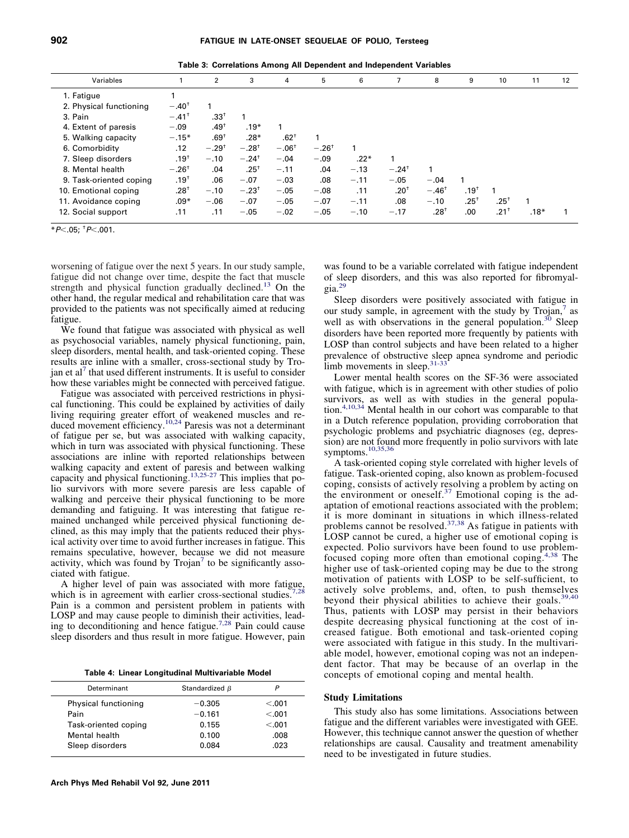<span id="page-3-0"></span>

|  |  |  | Table 3: Correlations Among All Dependent and Independent Variables |  |  |
|--|--|--|---------------------------------------------------------------------|--|--|
|  |  |  |                                                                     |  |  |
|  |  |  |                                                                     |  |  |

| Variables               |                     | 2               | 3                   | 4       | 5                | 6      |                     | 8                | 9                | 10               | 11     | 12 |
|-------------------------|---------------------|-----------------|---------------------|---------|------------------|--------|---------------------|------------------|------------------|------------------|--------|----|
| 1. Fatigue              |                     |                 |                     |         |                  |        |                     |                  |                  |                  |        |    |
| 2. Physical functioning | $-.40^{\dagger}$    |                 |                     |         |                  |        |                     |                  |                  |                  |        |    |
| 3. Pain                 | $-.41$ <sup>+</sup> | $.33^+$         |                     |         |                  |        |                     |                  |                  |                  |        |    |
| 4. Extent of paresis    | $-.09$              | $.49^{\dagger}$ | $.19*$              |         |                  |        |                     |                  |                  |                  |        |    |
| 5. Walking capacity     | $-.15*$             | $.69^+$         | $.28*$              | $.62^+$ |                  |        |                     |                  |                  |                  |        |    |
| 6. Comorbidity          | .12                 | $-.29^{+}$      | $-.28^{\dagger}$    | $-.06†$ | $-.26^{\dagger}$ |        |                     |                  |                  |                  |        |    |
| 7. Sleep disorders      | $.19^{\dagger}$     | $-.10$          | $-.24$ <sup>†</sup> | $-.04$  | $-.09$           | $.22*$ |                     |                  |                  |                  |        |    |
| 8. Mental health        | $-.26^{\dagger}$    | .04             | $.25^+$             | $-.11$  | .04              | $-.13$ | $-.24$ <sup>+</sup> |                  |                  |                  |        |    |
| 9. Task-oriented coping | $.19^{\dagger}$     | .06             | $-.07$              | $-.03$  | .08              | $-.11$ | $-.05$              | $-.04$           |                  |                  |        |    |
| 10. Emotional coping    | $.28^{+}$           | $-.10$          | $-.23$ <sup>+</sup> | $-.05$  | $-.08$           | .11    | $.20^+$             | $-.46^{\dagger}$ | .19 <sup>†</sup> |                  |        |    |
| 11. Avoidance coping    | $.09*$              | $-.06$          | $-.07$              | $-.05$  | $-.07$           | $-.11$ | .08                 | $-.10$           | $.25^{+}$        | $.25^{\circ}$    | 1      |    |
| 12. Social support      | .11                 | .11             | $-.05$              | $-.02$  | $-.05$           | $-.10$ | $-.17$              | $.28^{\dagger}$  | .00              | .21 <sup>†</sup> | $.18*$ |    |
|                         |                     |                 |                     |         |                  |        |                     |                  |                  |                  |        |    |

\**P*.05; † *P*.001.

worsening of fatigue over the next 5 years. In our study sample, fatigue did not change over time, despite the fact that muscle strength and physical function gradually declined.<sup>13</sup> On the other hand, the regular medical and rehabilitation care that was provided to the patients was not specifically aimed at reducing fatigue.

We found that fatigue was associated with physical as well as psychosocial variables, namely physical functioning, pain, sleep disorders, mental health, and task-oriented coping. These results are inline with a smaller, cross-sectional study by Tro-jan et al<sup>[7](#page-4-3)</sup> that used different instruments. It is useful to consider how these variables might be connected with perceived fatigue.

Fatigue was associated with perceived restrictions in physical functioning. This could be explained by activities of daily living requiring greater effort of weakened muscles and re-duced movement efficiency.<sup>[10,24](#page-4-5)</sup> Paresis was not a determinant of fatigue per se, but was associated with walking capacity, which in turn was associated with physical functioning. These associations are inline with reported relationships between walking capacity and extent of paresis and between walking capacity and physical functioning.<sup>[13,25-27](#page-4-17)</sup> This implies that polio survivors with more severe paresis are less capable of walking and perceive their physical functioning to be more demanding and fatiguing. It was interesting that fatigue remained unchanged while perceived physical functioning declined, as this may imply that the patients reduced their physical activity over time to avoid further increases in fatigue. This remains speculative, however, because we did not measure activity, which was found by  $Trojan<sup>7</sup>$  $Trojan<sup>7</sup>$  $Trojan<sup>7</sup>$  to be significantly associated with fatigue.

A higher level of pain was associated with more fatigue, which is in agreement with earlier cross-sectional studies.<sup>[7,28](#page-4-3)</sup> Pain is a common and persistent problem in patients with LOSP and may cause people to diminish their activities, leading to deconditioning and hence fatigue[.7,28](#page-4-3) Pain could cause sleep disorders and thus result in more fatigue. However, pain

<span id="page-3-1"></span>**Table 4: Linear Longitudinal Multivariable Model**

| Determinant          | Standardized $\beta$ |         |
|----------------------|----------------------|---------|
| Physical functioning | $-0.305$             | < 0.001 |
| Pain                 | $-0.161$             | < 0.001 |
| Task-oriented coping | 0.155                | < 0.001 |
| Mental health        | 0.100                | .008    |
| Sleep disorders      | 0.084                | .023    |
|                      |                      |         |

was found to be a variable correlated with fatigue independent of sleep disorders, and this was also reported for fibromyalgia[.29](#page-5-2)

Sleep disorders were positively associated with fatigue in our study sample, in agreement with the study by Trojan,<sup>[7](#page-4-3)</sup> as well as with observations in the general population.<sup>30</sup> Sleep disorders have been reported more frequently by patients with LOSP than control subjects and have been related to a higher prevalence of obstructive sleep apnea syndrome and periodic limb movements in sleep. $31-33$ 

Lower mental health scores on the SF-36 were associated with fatigue, which is in agreement with other studies of polio survivors, as well as with studies in the general population.<sup>[4,10,34](#page-4-4)</sup> Mental health in our cohort was comparable to that in a Dutch reference population, providing corroboration that psychologic problems and psychiatric diagnoses (eg, depression) are not found more frequently in polio survivors with late symptoms.<sup>10,35,36</sup>

A task-oriented coping style correlated with higher levels of fatigue. Task-oriented coping, also known as problem-focused coping, consists of actively resolving a problem by acting on the environment or oneself.<sup>[37](#page-5-5)</sup> Emotional coping is the adaptation of emotional reactions associated with the problem; it is more dominant in situations in which illness-related problems cannot be resolved. $37,38$  As fatigue in patients with LOSP cannot be cured, a higher use of emotional coping is expected. Polio survivors have been found to use problemfocused coping more often than emotional coping.[4,38](#page-4-4) The higher use of task-oriented coping may be due to the strong motivation of patients with LOSP to be self-sufficient, to actively solve problems, and, often, to push themselves beyond their physical abilities to achieve their goals.<sup>[39,40](#page-5-6)</sup> Thus, patients with LOSP may persist in their behaviors despite decreasing physical functioning at the cost of increased fatigue. Both emotional and task-oriented coping were associated with fatigue in this study. In the multivariable model, however, emotional coping was not an independent factor. That may be because of an overlap in the concepts of emotional coping and mental health.

## **Study Limitations**

This study also has some limitations. Associations between fatigue and the different variables were investigated with GEE. However, this technique cannot answer the question of whether relationships are causal. Causality and treatment amenability need to be investigated in future studies.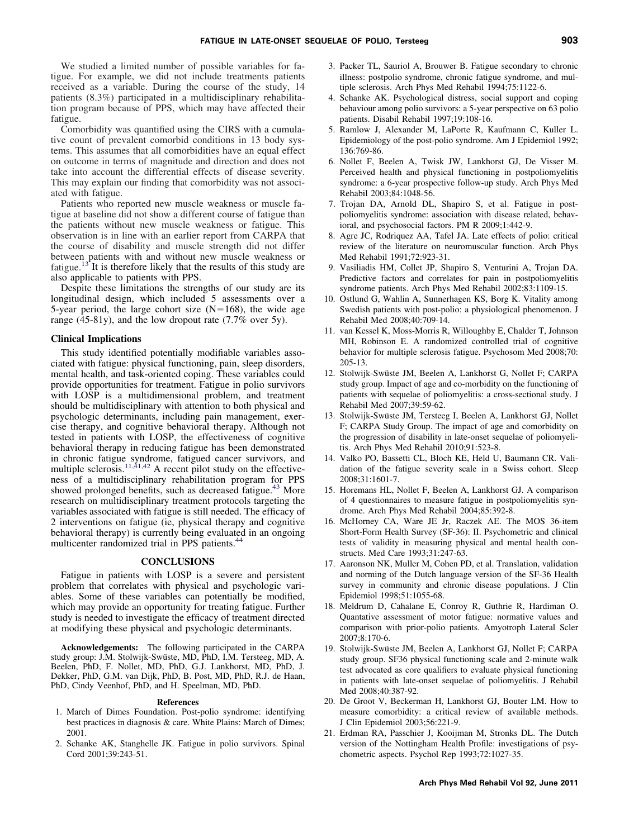We studied a limited number of possible variables for fatigue. For example, we did not include treatments patients received as a variable. During the course of the study, 14 patients (8.3%) participated in a multidisciplinary rehabilitation program because of PPS, which may have affected their fatigue.

Comorbidity was quantified using the CIRS with a cumulative count of prevalent comorbid conditions in 13 body systems. This assumes that all comorbidities have an equal effect on outcome in terms of magnitude and direction and does not take into account the differential effects of disease severity. This may explain our finding that comorbidity was not associated with fatigue.

Patients who reported new muscle weakness or muscle fatigue at baseline did not show a different course of fatigue than the patients without new muscle weakness or fatigue. This observation is in line with an earlier report from CARPA that the course of disability and muscle strength did not differ between patients with and without new muscle weakness or fatigue.<sup>[13](#page-4-17)</sup> It is therefore likely that the results of this study are also applicable to patients with PPS.

Despite these limitations the strengths of our study are its longitudinal design, which included 5 assessments over a 5-year period, the large cohort size  $(N=168)$ , the wide age range (45-81y), and the low dropout rate (7.7% over 5y).

### **Clinical Implications**

This study identified potentially modifiable variables associated with fatigue: physical functioning, pain, sleep disorders, mental health, and task-oriented coping. These variables could provide opportunities for treatment. Fatigue in polio survivors with LOSP is a multidimensional problem, and treatment should be multidisciplinary with attention to both physical and psychologic determinants, including pain management, exercise therapy, and cognitive behavioral therapy. Although not tested in patients with LOSP, the effectiveness of cognitive behavioral therapy in reducing fatigue has been demonstrated in chronic fatigue syndrome, fatigued cancer survivors, and multiple sclerosis.<sup>11,41,42</sup> A recent pilot study on the effectiveness of a multidisciplinary rehabilitation program for PPS showed prolonged benefits, such as decreased fatigue.<sup>[43](#page-5-7)</sup> More research on multidisciplinary treatment protocols targeting the variables associated with fatigue is still needed. The efficacy of 2 interventions on fatigue (ie, physical therapy and cognitive behavioral therapy) is currently being evaluated in an ongoing multicenter randomized trial in PPS patients.<sup>44</sup>

## **CONCLUSIONS**

Fatigue in patients with LOSP is a severe and persistent problem that correlates with physical and psychologic variables. Some of these variables can potentially be modified, which may provide an opportunity for treating fatigue. Further study is needed to investigate the efficacy of treatment directed at modifying these physical and psychologic determinants.

**Acknowledgements:** The following participated in the CARPA study group: J.M. Stolwijk-Swüste, MD, PhD, I.M. Tersteeg, MD, A. Beelen, PhD, F. Nollet, MD, PhD, G.J. Lankhorst, MD, PhD, J. Dekker, PhD, G.M. van Dijk, PhD, B. Post, MD, PhD, R.J. de Haan, PhD, Cindy Veenhof, PhD, and H. Speelman, MD, PhD.

#### **References**

- <span id="page-4-0"></span>1. March of Dimes Foundation. Post-polio syndrome: identifying best practices in diagnosis & care. White Plains: March of Dimes; 2001.
- <span id="page-4-1"></span>2. Schanke AK, Stanghelle JK. Fatigue in polio survivors. Spinal Cord 2001;39:243-51.
- <span id="page-4-2"></span>3. Packer TL, Sauriol A, Brouwer B. Fatigue secondary to chronic illness: postpolio syndrome, chronic fatigue syndrome, and multiple sclerosis. Arch Phys Med Rehabil 1994;75:1122-6.
- <span id="page-4-4"></span>4. Schanke AK. Psychological distress, social support and coping behaviour among polio survivors: a 5-year perspective on 63 polio patients. Disabil Rehabil 1997;19:108-16.
- 5. Ramlow J, Alexander M, LaPorte R, Kaufmann C, Kuller L. Epidemiology of the post-polio syndrome. Am J Epidemiol 1992; 136:769-86.
- <span id="page-4-12"></span>6. Nollet F, Beelen A, Twisk JW, Lankhorst GJ, De Visser M. Perceived health and physical functioning in postpoliomyelitis syndrome: a 6-year prospective follow-up study. Arch Phys Med Rehabil 2003;84:1048-56.
- <span id="page-4-3"></span>7. Trojan DA, Arnold DL, Shapiro S, et al. Fatigue in postpoliomyelitis syndrome: association with disease related, behavioral, and psychosocial factors. PM R 2009;1:442-9.
- 8. Agre JC, Rodriquez AA, Tafel JA. Late effects of polio: critical review of the literature on neuromuscular function. Arch Phys Med Rehabil 1991;72:923-31.
- 9. Vasiliadis HM, Collet JP, Shapiro S, Venturini A, Trojan DA. Predictive factors and correlates for pain in postpoliomyelitis syndrome patients. Arch Phys Med Rehabil 2002;83:1109-15.
- <span id="page-4-5"></span>10. Ostlund G, Wahlin A, Sunnerhagen KS, Borg K. Vitality among Swedish patients with post-polio: a physiological phenomenon. J Rehabil Med 2008;40:709-14.
- <span id="page-4-6"></span>11. van Kessel K, Moss-Morris R, Willoughby E, Chalder T, Johnson MH, Robinson E. A randomized controlled trial of cognitive behavior for multiple sclerosis fatigue. Psychosom Med 2008;70: 205-13.
- <span id="page-4-7"></span>12. Stolwijk-Swüste JM, Beelen A, Lankhorst G, Nollet F; CARPA study group. Impact of age and co-morbidity on the functioning of patients with sequelae of poliomyelitis: a cross-sectional study. J Rehabil Med 2007;39:59-62.
- <span id="page-4-17"></span>13. Stolwijk-Swüste JM, Tersteeg I, Beelen A, Lankhorst GJ, Nollet F; CARPA Study Group. The impact of age and comorbidity on the progression of disability in late-onset sequelae of poliomyelitis. Arch Phys Med Rehabil 2010;91:523-8.
- <span id="page-4-8"></span>14. Valko PO, Bassetti CL, Bloch KE, Held U, Baumann CR. Validation of the fatigue severity scale in a Swiss cohort. Sleep 2008;31:1601-7.
- <span id="page-4-9"></span>15. Horemans HL, Nollet F, Beelen A, Lankhorst GJ. A comparison of 4 questionnaires to measure fatigue in postpoliomyelitis syndrome. Arch Phys Med Rehabil 2004;85:392-8.
- <span id="page-4-10"></span>16. McHorney CA, Ware JE Jr, Raczek AE. The MOS 36-item Short-Form Health Survey (SF-36): II. Psychometric and clinical tests of validity in measuring physical and mental health constructs. Med Care 1993;31:247-63.
- <span id="page-4-11"></span>17. Aaronson NK, Muller M, Cohen PD, et al. Translation, validation and norming of the Dutch language version of the SF-36 Health survey in community and chronic disease populations. J Clin Epidemiol 1998;51:1055-68.
- <span id="page-4-13"></span>18. Meldrum D, Cahalane E, Conroy R, Guthrie R, Hardiman O. Quantative assessment of motor fatigue: normative values and comparison with prior-polio patients. Amyotroph Lateral Scler 2007;8:170-6.
- <span id="page-4-14"></span>19. Stolwijk-Swüste JM, Beelen A, Lankhorst GJ, Nollet F; CARPA study group. SF36 physical functioning scale and 2-minute walk test advocated as core qualifiers to evaluate physical functioning in patients with late-onset sequelae of poliomyelitis. J Rehabil Med 2008;40:387-92.
- <span id="page-4-16"></span><span id="page-4-15"></span>20. De Groot V, Beckerman H, Lankhorst GJ, Bouter LM. How to measure comorbidity: a critical review of available methods. J Clin Epidemiol 2003;56:221-9.
- 21. Erdman RA, Passchier J, Kooijman M, Stronks DL. The Dutch version of the Nottingham Health Profile: investigations of psychometric aspects. Psychol Rep 1993;72:1027-35.